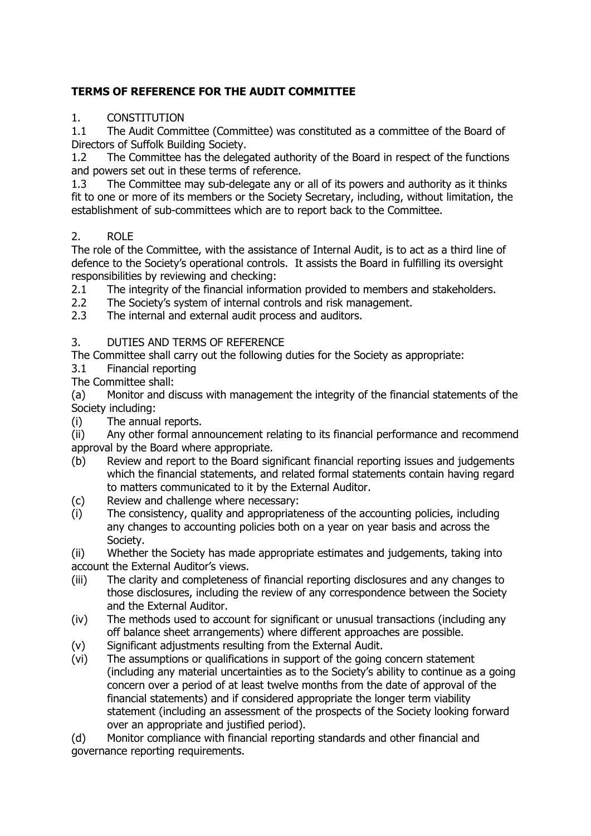## **TERMS OF REFERENCE FOR THE AUDIT COMMITTEE**

### 1. CONSTITUTION

1.1 The Audit Committee (Committee) was constituted as a committee of the Board of Directors of Suffolk Building Society.

1.2 The Committee has the delegated authority of the Board in respect of the functions and powers set out in these terms of reference.<br>1.3 The Committee may sub-delegate any or

The Committee may sub-delegate any or all of its powers and authority as it thinks fit to one or more of its members or the Society Secretary, including, without limitation, the establishment of sub-committees which are to report back to the Committee.

## 2. ROLE

The role of the Committee, with the assistance of Internal Audit, is to act as a third line of defence to the Society's operational controls. It assists the Board in fulfilling its oversight responsibilities by reviewing and checking:

- 2.1 The integrity of the financial information provided to members and stakeholders.<br>2.2 The Society's system of internal controls and risk management.
- 2.2 The Society's system of internal controls and risk management.<br>2.3 The internal and external audit process and auditors.
- The internal and external audit process and auditors.

#### 3. DUTIES AND TERMS OF REFERENCE

The Committee shall carry out the following duties for the Society as appropriate:<br>3.1 Financial reporting

- Financial reporting
- The Committee shall:

(a) Monitor and discuss with management the integrity of the financial statements of the Society including:

(i) The annual reports.

(ii) Any other formal announcement relating to its financial performance and recommend approval by the Board where appropriate.<br>(b) Review and report to the Board sig

- Review and report to the Board significant financial reporting issues and judgements which the financial statements, and related formal statements contain having regard to matters communicated to it by the External Auditor.
- (c) Review and challenge where necessary:
- (i) The consistency, quality and appropriateness of the accounting policies, including any changes to accounting policies both on a year on year basis and across the Society.

(ii) Whether the Society has made appropriate estimates and judgements, taking into account the External Auditor's views.

- (iii) The clarity and completeness of financial reporting disclosures and any changes to those disclosures, including the review of any correspondence between the Society and the External Auditor.
- (iv) The methods used to account for significant or unusual transactions (including any off balance sheet arrangements) where different approaches are possible.
- (v) Significant adjustments resulting from the External Audit.
- (vi) The assumptions or qualifications in support of the going concern statement (including any material uncertainties as to the Society's ability to continue as a going concern over a period of at least twelve months from the date of approval of the financial statements) and if considered appropriate the longer term viability statement (including an assessment of the prospects of the Society looking forward over an appropriate and justified period).

(d) Monitor compliance with financial reporting standards and other financial and governance reporting requirements.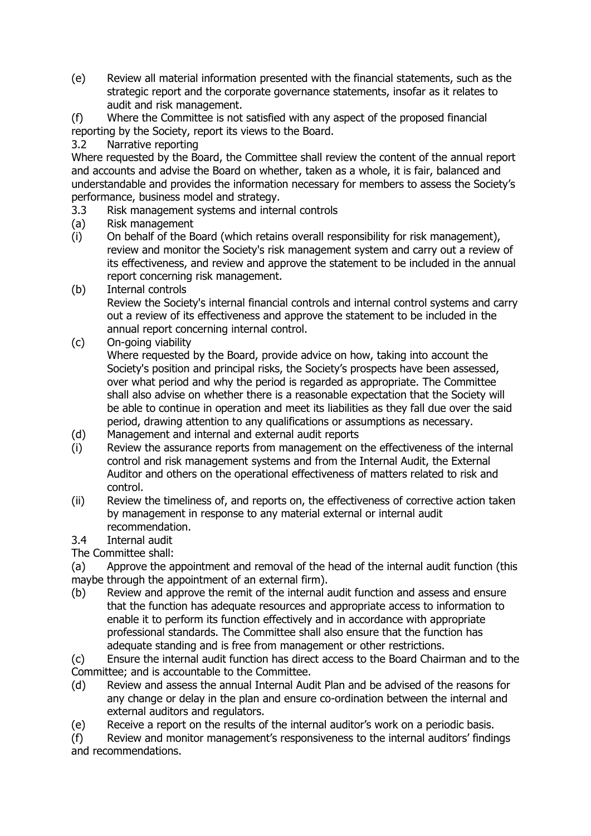- (e) Review all material information presented with the financial statements, such as the strategic report and the corporate governance statements, insofar as it relates to audit and risk management.
- (f) Where the Committee is not satisfied with any aspect of the proposed financial reporting by the Society, report its views to the Board.
- 3.2 Narrative reporting

Where requested by the Board, the Committee shall review the content of the annual report and accounts and advise the Board on whether, taken as a whole, it is fair, balanced and understandable and provides the information necessary for members to assess the Society's performance, business model and strategy.

- 3.3 Risk management systems and internal controls
- (a) Risk management
- (i) On behalf of the Board (which retains overall responsibility for risk management), review and monitor the Society's risk management system and carry out a review of its effectiveness, and review and approve the statement to be included in the annual report concerning risk management.
- (b) Internal controls Review the Society's internal financial controls and internal control systems and carry out a review of its effectiveness and approve the statement to be included in the annual report concerning internal control.
- (c) On-going viability

Where requested by the Board, provide advice on how, taking into account the Society's position and principal risks, the Society's prospects have been assessed, over what period and why the period is regarded as appropriate. The Committee shall also advise on whether there is a reasonable expectation that the Society will be able to continue in operation and meet its liabilities as they fall due over the said period, drawing attention to any qualifications or assumptions as necessary.

- (d) Management and internal and external audit reports
- (i) Review the assurance reports from management on the effectiveness of the internal control and risk management systems and from the Internal Audit, the External Auditor and others on the operational effectiveness of matters related to risk and control.
- (ii) Review the timeliness of, and reports on, the effectiveness of corrective action taken by management in response to any material external or internal audit recommendation.
- 3.4 Internal audit

The Committee shall:

(a) Approve the appointment and removal of the head of the internal audit function (this maybe through the appointment of an external firm).

(b) Review and approve the remit of the internal audit function and assess and ensure that the function has adequate resources and appropriate access to information to enable it to perform its function effectively and in accordance with appropriate professional standards. The Committee shall also ensure that the function has adequate standing and is free from management or other restrictions.

(c) Ensure the internal audit function has direct access to the Board Chairman and to the Committee; and is accountable to the Committee.

- (d) Review and assess the annual Internal Audit Plan and be advised of the reasons for any change or delay in the plan and ensure co-ordination between the internal and external auditors and regulators.
- (e) Receive a report on the results of the internal auditor's work on a periodic basis.

(f) Review and monitor management's responsiveness to the internal auditors' findings and recommendations.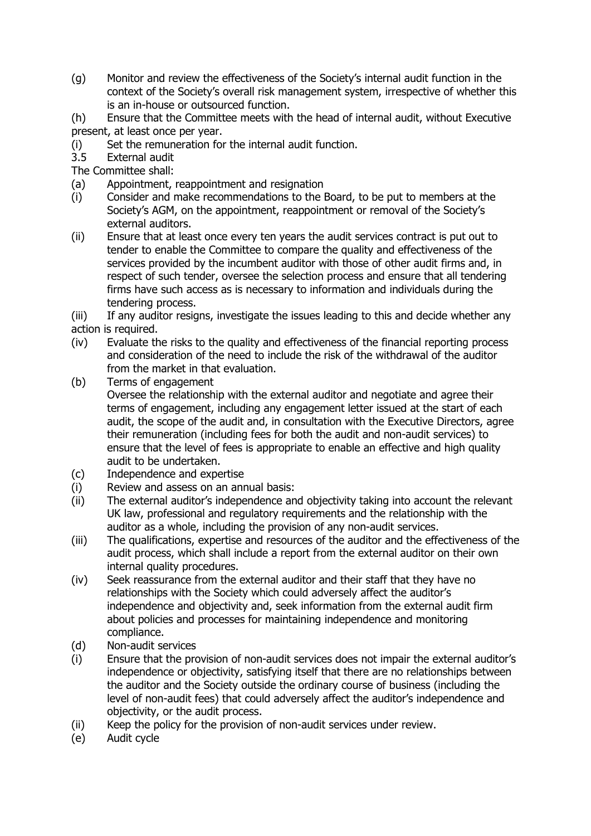(g) Monitor and review the effectiveness of the Society's internal audit function in the context of the Society's overall risk management system, irrespective of whether this is an in-house or outsourced function.

(h) Ensure that the Committee meets with the head of internal audit, without Executive present, at least once per year.

- (i) Set the remuneration for the internal audit function.
- External audit

The Committee shall:

- (a) Appointment, reappointment and resignation
- (i) Consider and make recommendations to the Board, to be put to members at the Society's AGM, on the appointment, reappointment or removal of the Society's external auditors.
- (ii) Ensure that at least once every ten years the audit services contract is put out to tender to enable the Committee to compare the quality and effectiveness of the services provided by the incumbent auditor with those of other audit firms and, in respect of such tender, oversee the selection process and ensure that all tendering firms have such access as is necessary to information and individuals during the tendering process.
- (iii) If any auditor resigns, investigate the issues leading to this and decide whether any action is required.
- (iv) Evaluate the risks to the quality and effectiveness of the financial reporting process and consideration of the need to include the risk of the withdrawal of the auditor from the market in that evaluation.
- (b) Terms of engagement

Oversee the relationship with the external auditor and negotiate and agree their terms of engagement, including any engagement letter issued at the start of each audit, the scope of the audit and, in consultation with the Executive Directors, agree their remuneration (including fees for both the audit and non-audit services) to ensure that the level of fees is appropriate to enable an effective and high quality audit to be undertaken.

- (c) Independence and expertise
- (i) Review and assess on an annual basis:
- (ii) The external auditor's independence and objectivity taking into account the relevant UK law, professional and regulatory requirements and the relationship with the auditor as a whole, including the provision of any non-audit services.
- (iii) The qualifications, expertise and resources of the auditor and the effectiveness of the audit process, which shall include a report from the external auditor on their own internal quality procedures.
- (iv) Seek reassurance from the external auditor and their staff that they have no relationships with the Society which could adversely affect the auditor's independence and objectivity and, seek information from the external audit firm about policies and processes for maintaining independence and monitoring compliance.
- (d) Non-audit services
- (i) Ensure that the provision of non-audit services does not impair the external auditor's independence or objectivity, satisfying itself that there are no relationships between the auditor and the Society outside the ordinary course of business (including the level of non-audit fees) that could adversely affect the auditor's independence and objectivity, or the audit process.
- (ii) Keep the policy for the provision of non-audit services under review.
- (e) Audit cycle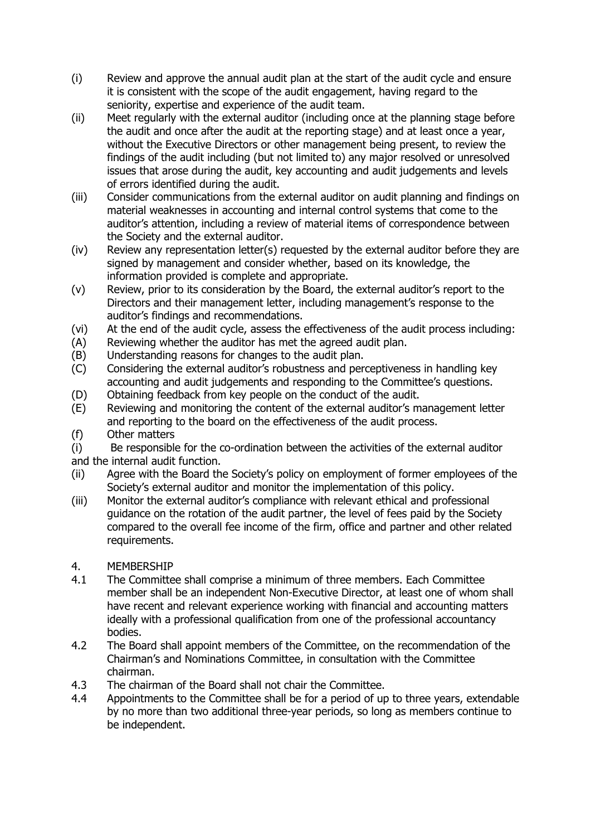- (i) Review and approve the annual audit plan at the start of the audit cycle and ensure it is consistent with the scope of the audit engagement, having regard to the seniority, expertise and experience of the audit team.
- (ii) Meet regularly with the external auditor (including once at the planning stage before the audit and once after the audit at the reporting stage) and at least once a year, without the Executive Directors or other management being present, to review the findings of the audit including (but not limited to) any major resolved or unresolved issues that arose during the audit, key accounting and audit judgements and levels of errors identified during the audit.
- (iii) Consider communications from the external auditor on audit planning and findings on material weaknesses in accounting and internal control systems that come to the auditor's attention, including a review of material items of correspondence between the Society and the external auditor.
- (iv) Review any representation letter(s) requested by the external auditor before they are signed by management and consider whether, based on its knowledge, the information provided is complete and appropriate.
- (v) Review, prior to its consideration by the Board, the external auditor's report to the Directors and their management letter, including management's response to the auditor's findings and recommendations.
- (vi) At the end of the audit cycle, assess the effectiveness of the audit process including:
- (A) Reviewing whether the auditor has met the agreed audit plan.
- (B) Understanding reasons for changes to the audit plan.<br>(C) Considering the external auditor's robustness and per-
- Considering the external auditor's robustness and perceptiveness in handling key accounting and audit judgements and responding to the Committee's questions.
- (D) Obtaining feedback from key people on the conduct of the audit.<br>(E) Reviewing and monitoring the content of the external auditor's m
- Reviewing and monitoring the content of the external auditor's management letter and reporting to the board on the effectiveness of the audit process.
- (f) Other matters

(i) Be responsible for the co-ordination between the activities of the external auditor and the internal audit function.

- (ii) Agree with the Board the Society's policy on employment of former employees of the Society's external auditor and monitor the implementation of this policy.
- (iii) Monitor the external auditor's compliance with relevant ethical and professional guidance on the rotation of the audit partner, the level of fees paid by the Society compared to the overall fee income of the firm, office and partner and other related requirements.

### 4. MEMBERSHIP

- 4.1 The Committee shall comprise a minimum of three members. Each Committee member shall be an independent Non-Executive Director, at least one of whom shall have recent and relevant experience working with financial and accounting matters ideally with a professional qualification from one of the professional accountancy bodies.
- 4.2 The Board shall appoint members of the Committee, on the recommendation of the Chairman's and Nominations Committee, in consultation with the Committee chairman.
- 4.3 The chairman of the Board shall not chair the Committee.
- 4.4 Appointments to the Committee shall be for a period of up to three years, extendable by no more than two additional three-year periods, so long as members continue to be independent.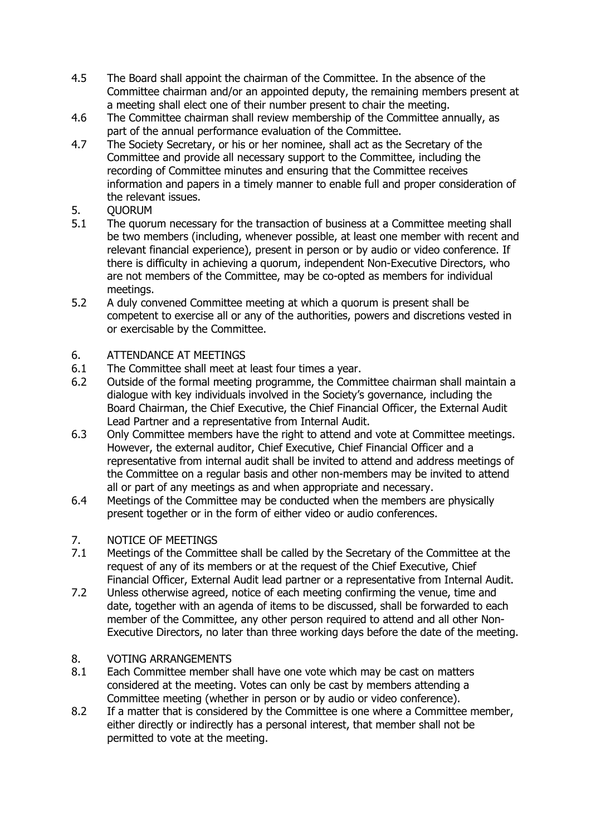- 4.5 The Board shall appoint the chairman of the Committee. In the absence of the Committee chairman and/or an appointed deputy, the remaining members present at a meeting shall elect one of their number present to chair the meeting.
- 4.6 The Committee chairman shall review membership of the Committee annually, as part of the annual performance evaluation of the Committee.
- 4.7 The Society Secretary, or his or her nominee, shall act as the Secretary of the Committee and provide all necessary support to the Committee, including the recording of Committee minutes and ensuring that the Committee receives information and papers in a timely manner to enable full and proper consideration of the relevant issues.
- 5. QUORUM<br>5.1 The quoru
- The quorum necessary for the transaction of business at a Committee meeting shall be two members (including, whenever possible, at least one member with recent and relevant financial experience), present in person or by audio or video conference. If there is difficulty in achieving a quorum, independent Non-Executive Directors, who are not members of the Committee, may be co-opted as members for individual meetings.
- 5.2 A duly convened Committee meeting at which a quorum is present shall be competent to exercise all or any of the authorities, powers and discretions vested in or exercisable by the Committee.

## 6. ATTENDANCE AT MEETINGS<br>6.1 The Committee shall meet at

- The Committee shall meet at least four times a year.
- 6.2 Outside of the formal meeting programme, the Committee chairman shall maintain a dialogue with key individuals involved in the Society's governance, including the Board Chairman, the Chief Executive, the Chief Financial Officer, the External Audit Lead Partner and a representative from Internal Audit.
- 6.3 Only Committee members have the right to attend and vote at Committee meetings. However, the external auditor, Chief Executive, Chief Financial Officer and a representative from internal audit shall be invited to attend and address meetings of the Committee on a regular basis and other non-members may be invited to attend all or part of any meetings as and when appropriate and necessary.
- 6.4 Meetings of the Committee may be conducted when the members are physically present together or in the form of either video or audio conferences.

## 7. NOTICE OF MEETINGS<br>7.1 Meetings of the Commi

- Meetings of the Committee shall be called by the Secretary of the Committee at the request of any of its members or at the request of the Chief Executive, Chief Financial Officer, External Audit lead partner or a representative from Internal Audit.
- 7.2 Unless otherwise agreed, notice of each meeting confirming the venue, time and date, together with an agenda of items to be discussed, shall be forwarded to each member of the Committee, any other person required to attend and all other Non-Executive Directors, no later than three working days before the date of the meeting.

#### 8. VOTING ARRANGEMENTS

- 8.1 Each Committee member shall have one vote which may be cast on matters considered at the meeting. Votes can only be cast by members attending a Committee meeting (whether in person or by audio or video conference).
- 8.2 If a matter that is considered by the Committee is one where a Committee member, either directly or indirectly has a personal interest, that member shall not be permitted to vote at the meeting.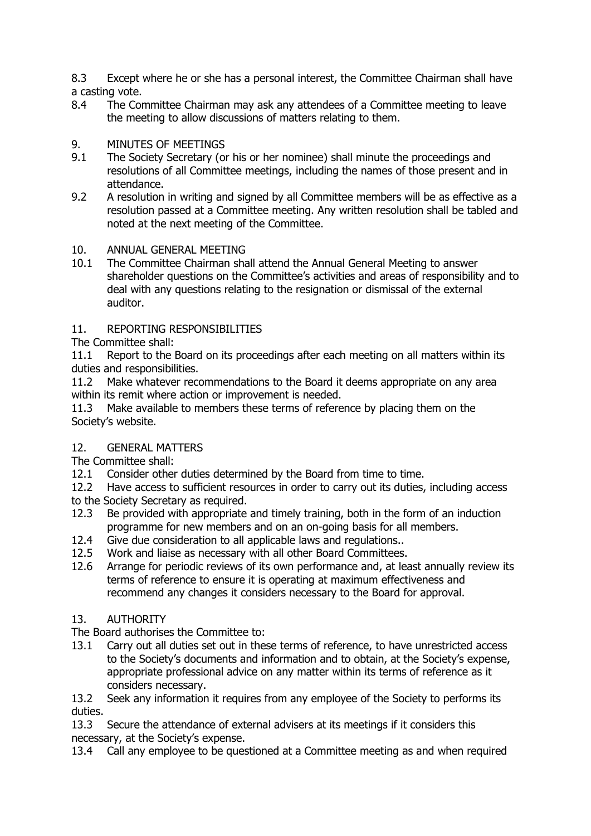8.3 Except where he or she has a personal interest, the Committee Chairman shall have a casting vote.<br>8.4 The Cor

The Committee Chairman may ask any attendees of a Committee meeting to leave the meeting to allow discussions of matters relating to them.

# 9. MINUTES OF MEETINGS<br>9.1 The Society Secretary (or

- The Society Secretary (or his or her nominee) shall minute the proceedings and resolutions of all Committee meetings, including the names of those present and in attendance.
- 9.2 A resolution in writing and signed by all Committee members will be as effective as a resolution passed at a Committee meeting. Any written resolution shall be tabled and noted at the next meeting of the Committee.

#### 10. ANNUAL GENERAL MEETING

10.1 The Committee Chairman shall attend the Annual General Meeting to answer shareholder questions on the Committee's activities and areas of responsibility and to deal with any questions relating to the resignation or dismissal of the external auditor.

#### 11. REPORTING RESPONSIBILITIES

The Committee shall:

11.1 Report to the Board on its proceedings after each meeting on all matters within its duties and responsibilities.

11.2 Make whatever recommendations to the Board it deems appropriate on any area within its remit where action or improvement is needed.

11.3 Make available to members these terms of reference by placing them on the Society's website.

#### 12. GENERAL MATTERS

The Committee shall:

- 12.1 Consider other duties determined by the Board from time to time.
- 12.2 Have access to sufficient resources in order to carry out its duties, including access
- to the Society Secretary as required.
- 12.3 Be provided with appropriate and timely training, both in the form of an induction programme for new members and on an on-going basis for all members.
- 12.4 Give due consideration to all applicable laws and regulations..
- 12.5 Work and liaise as necessary with all other Board Committees.
- 12.6 Arrange for periodic reviews of its own performance and, at least annually review its terms of reference to ensure it is operating at maximum effectiveness and recommend any changes it considers necessary to the Board for approval.

#### 13. AUTHORITY

The Board authorises the Committee to:<br>13.1 Carry out all duties set out in the

Carry out all duties set out in these terms of reference, to have unrestricted access to the Society's documents and information and to obtain, at the Society's expense, appropriate professional advice on any matter within its terms of reference as it considers necessary.

13.2 Seek any information it requires from any employee of the Society to performs its duties.

13.3 Secure the attendance of external advisers at its meetings if it considers this necessary, at the Society's expense.

13.4 Call any employee to be questioned at a Committee meeting as and when required